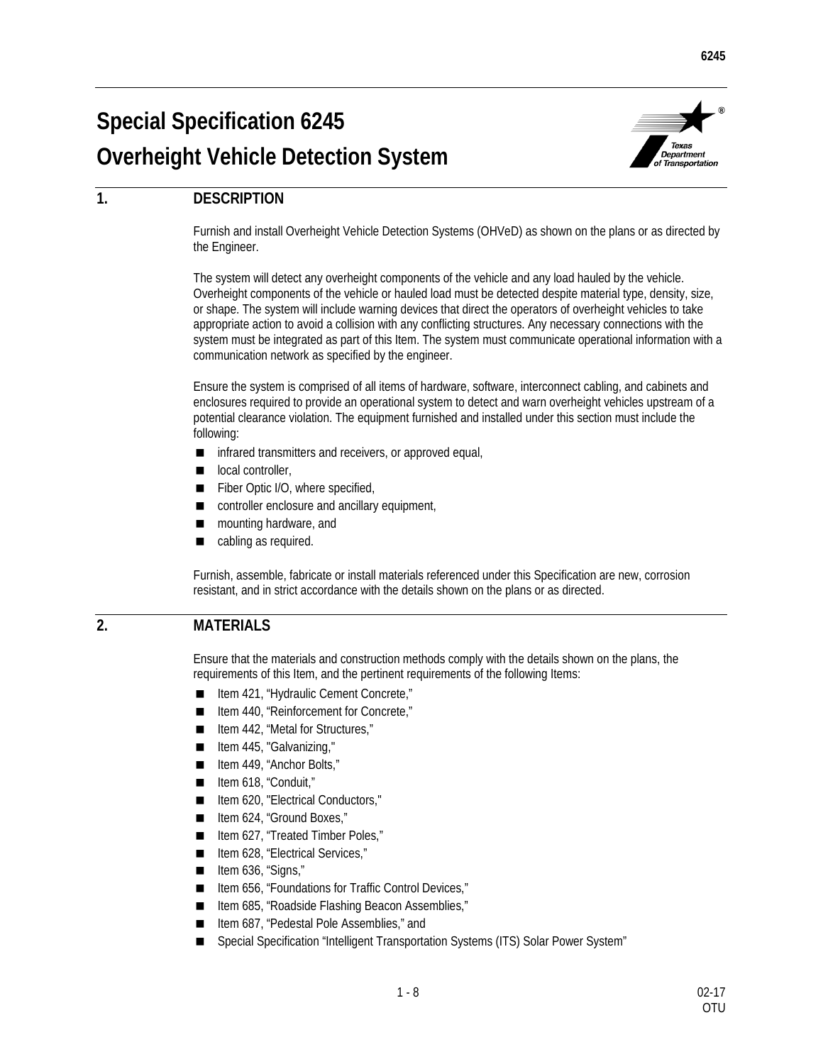# **Special Specification 6245 Overheight Vehicle Detection System**



## **1. DESCRIPTION**

Furnish and install Overheight Vehicle Detection Systems (OHVeD) as shown on the plans or as directed by the Engineer.

The system will detect any overheight components of the vehicle and any load hauled by the vehicle. Overheight components of the vehicle or hauled load must be detected despite material type, density, size, or shape. The system will include warning devices that direct the operators of overheight vehicles to take appropriate action to avoid a collision with any conflicting structures. Any necessary connections with the system must be integrated as part of this Item. The system must communicate operational information with a communication network as specified by the engineer.

Ensure the system is comprised of all items of hardware, software, interconnect cabling, and cabinets and enclosures required to provide an operational system to detect and warn overheight vehicles upstream of a potential clearance violation. The equipment furnished and installed under this section must include the following:

- infrared transmitters and receivers, or approved equal,
- local controller,
- Fiber Optic I/O, where specified,
- controller enclosure and ancillary equipment,
- mounting hardware, and
- cabling as required.

Furnish, assemble, fabricate or install materials referenced under this Specification are new, corrosion resistant, and in strict accordance with the details shown on the plans or as directed.

## **2. MATERIALS**

Ensure that the materials and construction methods comply with the details shown on the plans, the requirements of this Item, and the pertinent requirements of the following Items:

- Item 421, "Hydraulic Cement Concrete,"
- Item 440, "Reinforcement for Concrete,"
- Item 442, "Metal for Structures,"
- Item 445, "Galvanizing,"
- Item 449, "Anchor Bolts,"
- Item 618, "Conduit,"
- Item 620, "Electrical Conductors,"
- Item 624, "Ground Boxes,"
- Item 627, "Treated Timber Poles,"
- Item 628, "Electrical Services,"
- $\blacksquare$  Item 636, "Signs,"
- Item 656, "Foundations for Traffic Control Devices,"
- Item 685, "Roadside Flashing Beacon Assemblies,"
- Item 687, "Pedestal Pole Assemblies," and
- Special Specification "Intelligent Transportation Systems (ITS) Solar Power System"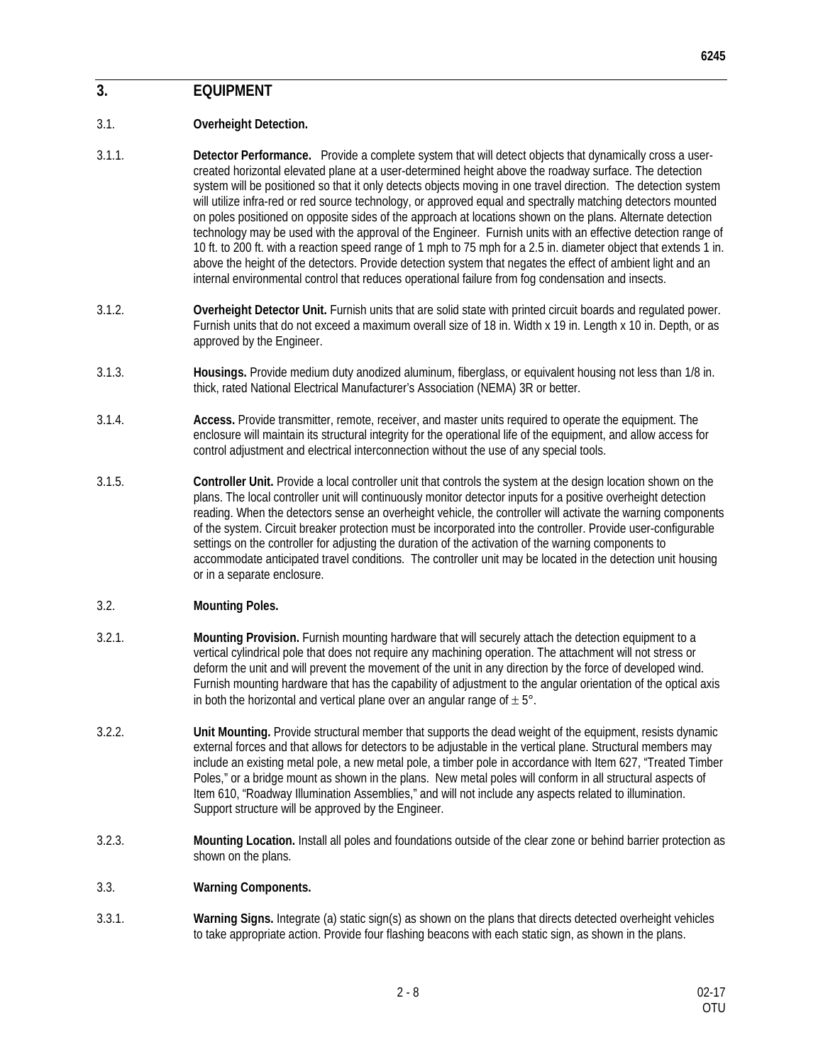### 3.1. **Overheight Detection.**

- 3.1.1. **Detector Performance.** Provide a complete system that will detect objects that dynamically cross a usercreated horizontal elevated plane at a user-determined height above the roadway surface. The detection system will be positioned so that it only detects objects moving in one travel direction. The detection system will utilize infra-red or red source technology, or approved equal and spectrally matching detectors mounted on poles positioned on opposite sides of the approach at locations shown on the plans. Alternate detection technology may be used with the approval of the Engineer. Furnish units with an effective detection range of 10 ft. to 200 ft. with a reaction speed range of 1 mph to 75 mph for a 2.5 in. diameter object that extends 1 in. above the height of the detectors. Provide detection system that negates the effect of ambient light and an internal environmental control that reduces operational failure from fog condensation and insects.
- 3.1.2. **Overheight Detector Unit.** Furnish units that are solid state with printed circuit boards and regulated power. Furnish units that do not exceed a maximum overall size of 18 in. Width x 19 in. Length x 10 in. Depth, or as approved by the Engineer.
- 3.1.3. **Housings.** Provide medium duty anodized aluminum, fiberglass, or equivalent housing not less than 1/8 in. thick, rated National Electrical Manufacturer's Association (NEMA) 3R or better.
- 3.1.4. **Access.** Provide transmitter, remote, receiver, and master units required to operate the equipment. The enclosure will maintain its structural integrity for the operational life of the equipment, and allow access for control adjustment and electrical interconnection without the use of any special tools.
- 3.1.5. **Controller Unit.** Provide a local controller unit that controls the system at the design location shown on the plans. The local controller unit will continuously monitor detector inputs for a positive overheight detection reading. When the detectors sense an overheight vehicle, the controller will activate the warning components of the system. Circuit breaker protection must be incorporated into the controller. Provide user-configurable settings on the controller for adjusting the duration of the activation of the warning components to accommodate anticipated travel conditions. The controller unit may be located in the detection unit housing or in a separate enclosure.

#### 3.2. **Mounting Poles.**

- 3.2.1. **Mounting Provision.** Furnish mounting hardware that will securely attach the detection equipment to a vertical cylindrical pole that does not require any machining operation. The attachment will not stress or deform the unit and will prevent the movement of the unit in any direction by the force of developed wind. Furnish mounting hardware that has the capability of adjustment to the angular orientation of the optical axis in both the horizontal and vertical plane over an angular range of  $\pm 5^{\circ}$ .
- 3.2.2. **Unit Mounting.** Provide structural member that supports the dead weight of the equipment, resists dynamic external forces and that allows for detectors to be adjustable in the vertical plane. Structural members may include an existing metal pole, a new metal pole, a timber pole in accordance with Item 627, "Treated Timber Poles," or a bridge mount as shown in the plans. New metal poles will conform in all structural aspects of Item 610, "Roadway Illumination Assemblies," and will not include any aspects related to illumination. Support structure will be approved by the Engineer.
- 3.2.3. **Mounting Location.** Install all poles and foundations outside of the clear zone or behind barrier protection as shown on the plans.
- 3.3. **Warning Components.**
- 3.3.1. **Warning Signs.** Integrate (a) static sign(s) as shown on the plans that directs detected overheight vehicles to take appropriate action. Provide four flashing beacons with each static sign, as shown in the plans.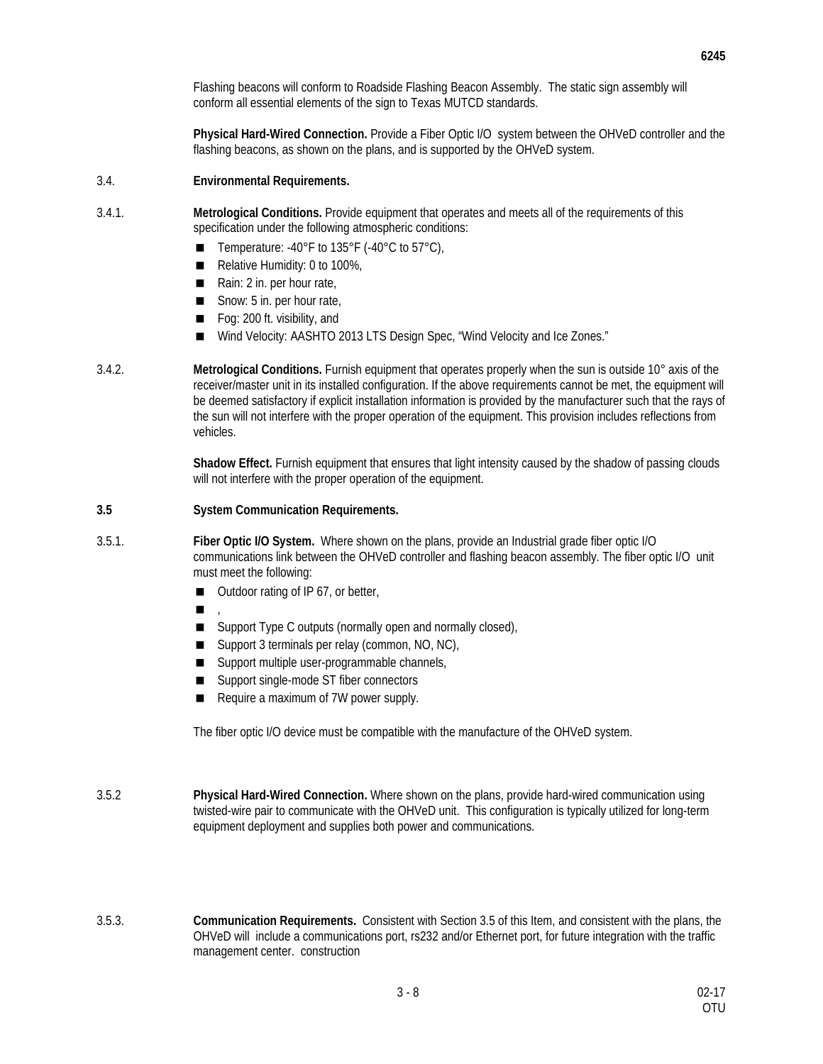Flashing beacons will conform to Roadside Flashing Beacon Assembly. The static sign assembly will conform all essential elements of the sign to Texas MUTCD standards.

**Physical Hard-Wired Connection.** Provide a Fiber Optic I/O system between the OHVeD controller and the flashing beacons, as shown on the plans, and is supported by the OHVeD system.

- 3.4. **Environmental Requirements.**
- 3.4.1. **Metrological Conditions.** Provide equipment that operates and meets all of the requirements of this specification under the following atmospheric conditions:
	- Temperature: -40°F to  $135^{\circ}$ F (-40°C to  $57^{\circ}$ C),
	- Relative Humidity: 0 to 100%,
	- Rain: 2 in. per hour rate,
	- $\blacksquare$  Snow: 5 in. per hour rate,
	- Fog: 200 ft. visibility, and
	- Wind Velocity: AASHTO 2013 LTS Design Spec, "Wind Velocity and Ice Zones."
- 3.4.2. **Metrological Conditions.** Furnish equipment that operates properly when the sun is outside 10° axis of the receiver/master unit in its installed configuration. If the above requirements cannot be met, the equipment will be deemed satisfactory if explicit installation information is provided by the manufacturer such that the rays of the sun will not interfere with the proper operation of the equipment. This provision includes reflections from vehicles.

**Shadow Effect.** Furnish equipment that ensures that light intensity caused by the shadow of passing clouds will not interfere with the proper operation of the equipment.

- **3.5 System Communication Requirements.**
- 3.5.1. **Fiber Optic I/O System.** Where shown on the plans, provide an Industrial grade fiber optic I/O communications link between the OHVeD controller and flashing beacon assembly. The fiber optic I/O unit must meet the following:
	- Outdoor rating of IP 67, or better,
	- ,
	- Support Type C outputs (normally open and normally closed),
	- Support 3 terminals per relay (common, NO, NC),
	- Support multiple user-programmable channels,
	- Support single-mode ST fiber connectors
	- Require a maximum of 7W power supply.

The fiber optic I/O device must be compatible with the manufacture of the OHVeD system.

- 3.5.2 **Physical Hard-Wired Connection.** Where shown on the plans, provide hard-wired communication using twisted-wire pair to communicate with the OHVeD unit. This configuration is typically utilized for long-term equipment deployment and supplies both power and communications.
- 3.5.3. **Communication Requirements.** Consistent with Section 3.5 of this Item, and consistent with the plans, the OHVeD will include a communications port, rs232 and/or Ethernet port, for future integration with the traffic management center. construction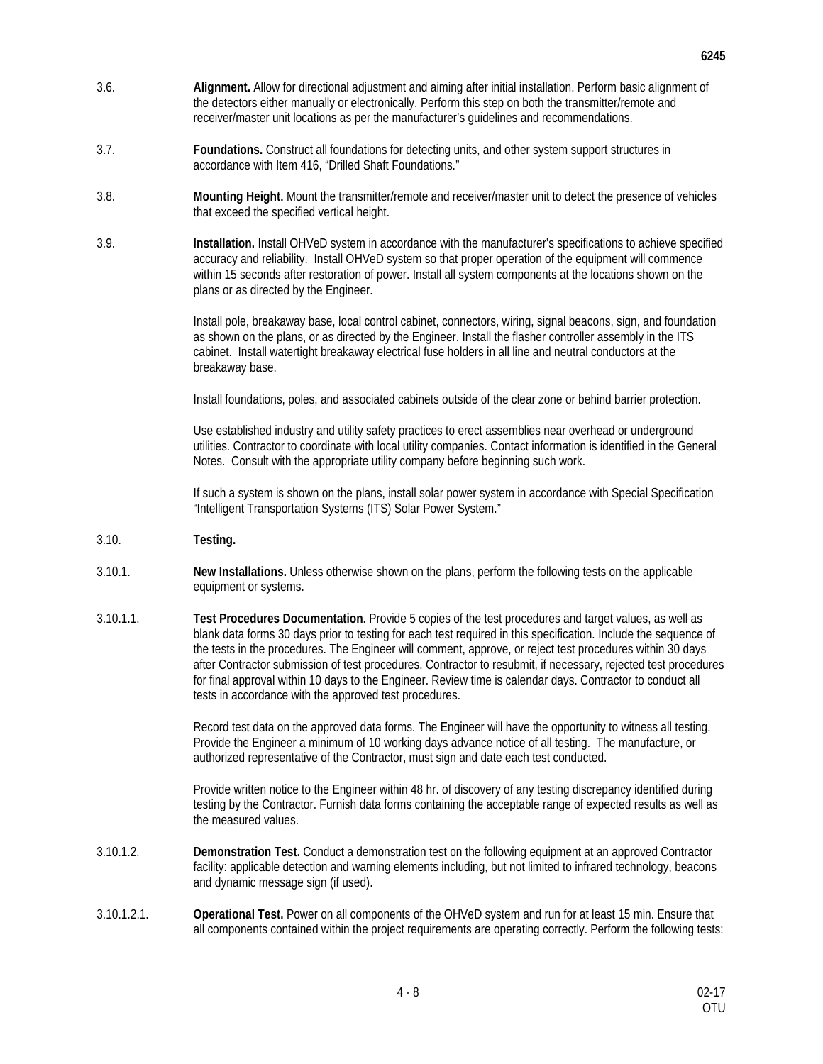- 3.6. **Alignment.** Allow for directional adjustment and aiming after initial installation. Perform basic alignment of the detectors either manually or electronically. Perform this step on both the transmitter/remote and receiver/master unit locations as per the manufacturer's guidelines and recommendations.
- 3.7. **Foundations.** Construct all foundations for detecting units, and other system support structures in accordance with Item 416, "Drilled Shaft Foundations."
- 3.8. **Mounting Height.** Mount the transmitter/remote and receiver/master unit to detect the presence of vehicles that exceed the specified vertical height.
- 3.9. **Installation.** Install OHVeD system in accordance with the manufacturer's specifications to achieve specified accuracy and reliability. Install OHVeD system so that proper operation of the equipment will commence within 15 seconds after restoration of power. Install all system components at the locations shown on the plans or as directed by the Engineer.

Install pole, breakaway base, local control cabinet, connectors, wiring, signal beacons, sign, and foundation as shown on the plans, or as directed by the Engineer. Install the flasher controller assembly in the ITS cabinet. Install watertight breakaway electrical fuse holders in all line and neutral conductors at the breakaway base.

Install foundations, poles, and associated cabinets outside of the clear zone or behind barrier protection.

Use established industry and utility safety practices to erect assemblies near overhead or underground utilities. Contractor to coordinate with local utility companies. Contact information is identified in the General Notes. Consult with the appropriate utility company before beginning such work.

If such a system is shown on the plans, install solar power system in accordance with Special Specification "Intelligent Transportation Systems (ITS) Solar Power System."

- 3.10. **Testing.**
- 3.10.1. **New Installations.** Unless otherwise shown on the plans, perform the following tests on the applicable equipment or systems.
- 3.10.1.1. **Test Procedures Documentation.** Provide 5 copies of the test procedures and target values, as well as blank data forms 30 days prior to testing for each test required in this specification. Include the sequence of the tests in the procedures. The Engineer will comment, approve, or reject test procedures within 30 days after Contractor submission of test procedures. Contractor to resubmit, if necessary, rejected test procedures for final approval within 10 days to the Engineer. Review time is calendar days. Contractor to conduct all tests in accordance with the approved test procedures.

Record test data on the approved data forms. The Engineer will have the opportunity to witness all testing. Provide the Engineer a minimum of 10 working days advance notice of all testing. The manufacture, or authorized representative of the Contractor, must sign and date each test conducted.

Provide written notice to the Engineer within 48 hr. of discovery of any testing discrepancy identified during testing by the Contractor. Furnish data forms containing the acceptable range of expected results as well as the measured values.

- 3.10.1.2. **Demonstration Test.** Conduct a demonstration test on the following equipment at an approved Contractor facility: applicable detection and warning elements including, but not limited to infrared technology, beacons and dynamic message sign (if used).
- 3.10.1.2.1. **Operational Test.** Power on all components of the OHVeD system and run for at least 15 min. Ensure that all components contained within the project requirements are operating correctly. Perform the following tests: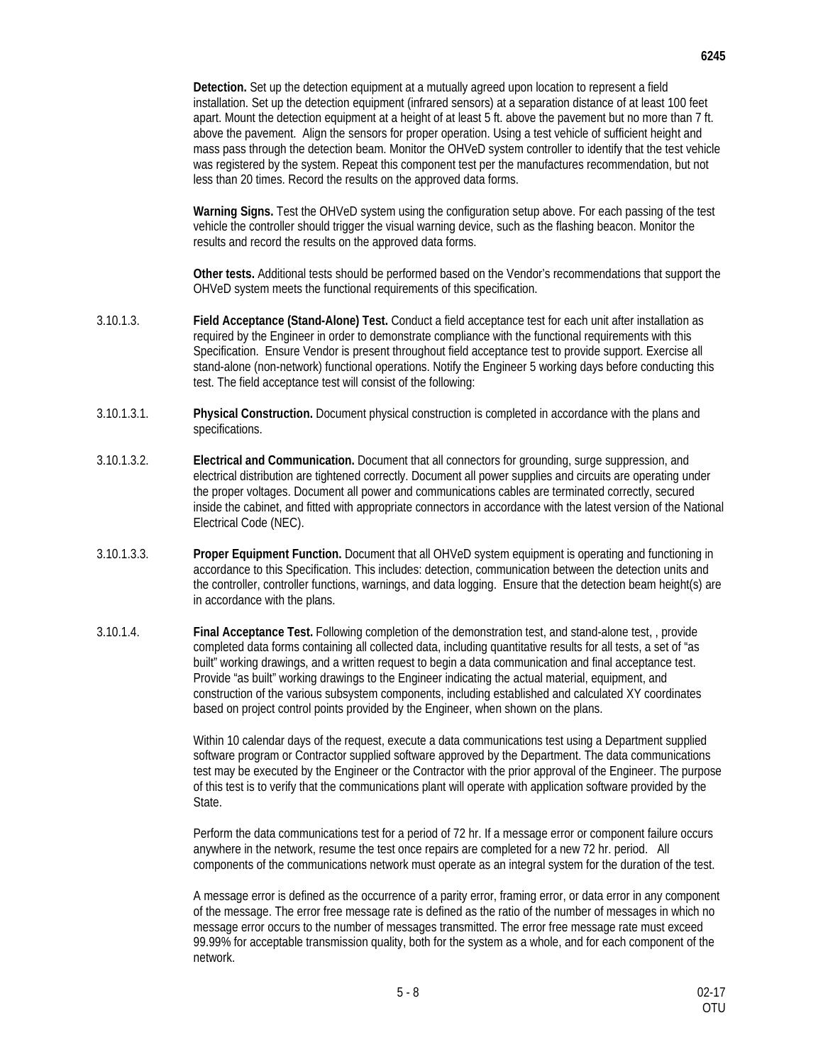**Detection.** Set up the detection equipment at a mutually agreed upon location to represent a field installation. Set up the detection equipment (infrared sensors) at a separation distance of at least 100 feet apart. Mount the detection equipment at a height of at least 5 ft. above the pavement but no more than 7 ft. above the pavement. Align the sensors for proper operation. Using a test vehicle of sufficient height and mass pass through the detection beam. Monitor the OHVeD system controller to identify that the test vehicle was registered by the system. Repeat this component test per the manufactures recommendation, but not less than 20 times. Record the results on the approved data forms.

**Warning Signs.** Test the OHVeD system using the configuration setup above. For each passing of the test vehicle the controller should trigger the visual warning device, such as the flashing beacon. Monitor the results and record the results on the approved data forms.

**Other tests.** Additional tests should be performed based on the Vendor's recommendations that support the OHVeD system meets the functional requirements of this specification.

- 3.10.1.3. **Field Acceptance (Stand-Alone) Test.** Conduct a field acceptance test for each unit after installation as required by the Engineer in order to demonstrate compliance with the functional requirements with this Specification. Ensure Vendor is present throughout field acceptance test to provide support. Exercise all stand-alone (non-network) functional operations. Notify the Engineer 5 working days before conducting this test. The field acceptance test will consist of the following:
- 3.10.1.3.1. **Physical Construction.** Document physical construction is completed in accordance with the plans and specifications.
- 3.10.1.3.2. **Electrical and Communication.** Document that all connectors for grounding, surge suppression, and electrical distribution are tightened correctly. Document all power supplies and circuits are operating under the proper voltages. Document all power and communications cables are terminated correctly, secured inside the cabinet, and fitted with appropriate connectors in accordance with the latest version of the National Electrical Code (NEC).
- 3.10.1.3.3. **Proper Equipment Function.** Document that all OHVeD system equipment is operating and functioning in accordance to this Specification. This includes: detection, communication between the detection units and the controller, controller functions, warnings, and data logging. Ensure that the detection beam height(s) are in accordance with the plans.
- 3.10.1.4. **Final Acceptance Test.** Following completion of the demonstration test, and stand-alone test, , provide completed data forms containing all collected data, including quantitative results for all tests, a set of "as built" working drawings, and a written request to begin a data communication and final acceptance test. Provide "as built" working drawings to the Engineer indicating the actual material, equipment, and construction of the various subsystem components, including established and calculated XY coordinates based on project control points provided by the Engineer, when shown on the plans.

Within 10 calendar days of the request, execute a data communications test using a Department supplied software program or Contractor supplied software approved by the Department. The data communications test may be executed by the Engineer or the Contractor with the prior approval of the Engineer. The purpose of this test is to verify that the communications plant will operate with application software provided by the State.

Perform the data communications test for a period of 72 hr. If a message error or component failure occurs anywhere in the network, resume the test once repairs are completed for a new 72 hr. period. All components of the communications network must operate as an integral system for the duration of the test.

A message error is defined as the occurrence of a parity error, framing error, or data error in any component of the message. The error free message rate is defined as the ratio of the number of messages in which no message error occurs to the number of messages transmitted. The error free message rate must exceed 99.99% for acceptable transmission quality, both for the system as a whole, and for each component of the network.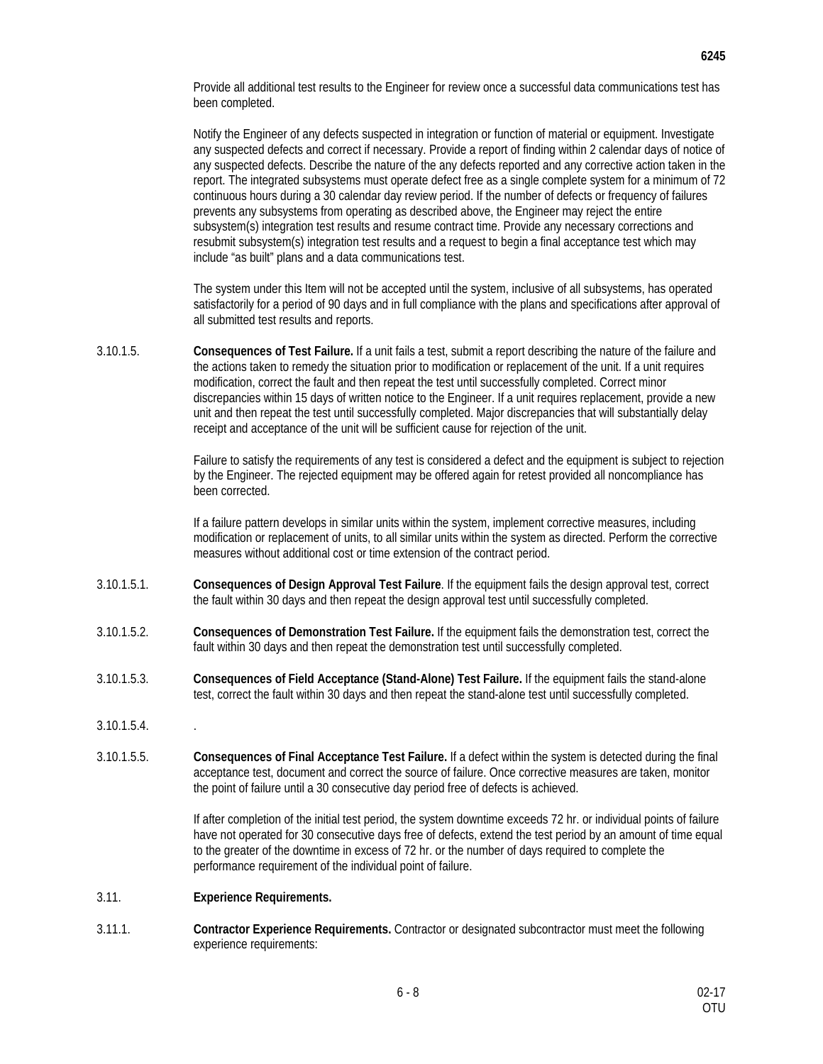Provide all additional test results to the Engineer for review once a successful data communications test has been completed.

Notify the Engineer of any defects suspected in integration or function of material or equipment. Investigate any suspected defects and correct if necessary. Provide a report of finding within 2 calendar days of notice of any suspected defects. Describe the nature of the any defects reported and any corrective action taken in the report. The integrated subsystems must operate defect free as a single complete system for a minimum of 72 continuous hours during a 30 calendar day review period. If the number of defects or frequency of failures prevents any subsystems from operating as described above, the Engineer may reject the entire subsystem(s) integration test results and resume contract time. Provide any necessary corrections and resubmit subsystem(s) integration test results and a request to begin a final acceptance test which may include "as built" plans and a data communications test.

The system under this Item will not be accepted until the system, inclusive of all subsystems, has operated satisfactorily for a period of 90 days and in full compliance with the plans and specifications after approval of all submitted test results and reports.

3.10.1.5. **Consequences of Test Failure.** If a unit fails a test, submit a report describing the nature of the failure and the actions taken to remedy the situation prior to modification or replacement of the unit. If a unit requires modification, correct the fault and then repeat the test until successfully completed. Correct minor discrepancies within 15 days of written notice to the Engineer. If a unit requires replacement, provide a new unit and then repeat the test until successfully completed. Major discrepancies that will substantially delay receipt and acceptance of the unit will be sufficient cause for rejection of the unit.

> Failure to satisfy the requirements of any test is considered a defect and the equipment is subject to rejection by the Engineer. The rejected equipment may be offered again for retest provided all noncompliance has been corrected.

If a failure pattern develops in similar units within the system, implement corrective measures, including modification or replacement of units, to all similar units within the system as directed. Perform the corrective measures without additional cost or time extension of the contract period.

- 3.10.1.5.1. **Consequences of Design Approval Test Failure**. If the equipment fails the design approval test, correct the fault within 30 days and then repeat the design approval test until successfully completed.
- 3.10.1.5.2. **Consequences of Demonstration Test Failure.** If the equipment fails the demonstration test, correct the fault within 30 days and then repeat the demonstration test until successfully completed.
- 3.10.1.5.3. **Consequences of Field Acceptance (Stand-Alone) Test Failure.** If the equipment fails the stand-alone test, correct the fault within 30 days and then repeat the stand-alone test until successfully completed.
- 3.10.1.5.4. .
- 3.10.1.5.5. **Consequences of Final Acceptance Test Failure.** If a defect within the system is detected during the final acceptance test, document and correct the source of failure. Once corrective measures are taken, monitor the point of failure until a 30 consecutive day period free of defects is achieved.

If after completion of the initial test period, the system downtime exceeds 72 hr. or individual points of failure have not operated for 30 consecutive days free of defects, extend the test period by an amount of time equal to the greater of the downtime in excess of 72 hr. or the number of days required to complete the performance requirement of the individual point of failure.

- 3.11. **Experience Requirements.**
- 3.11.1. **Contractor Experience Requirements.** Contractor or designated subcontractor must meet the following experience requirements: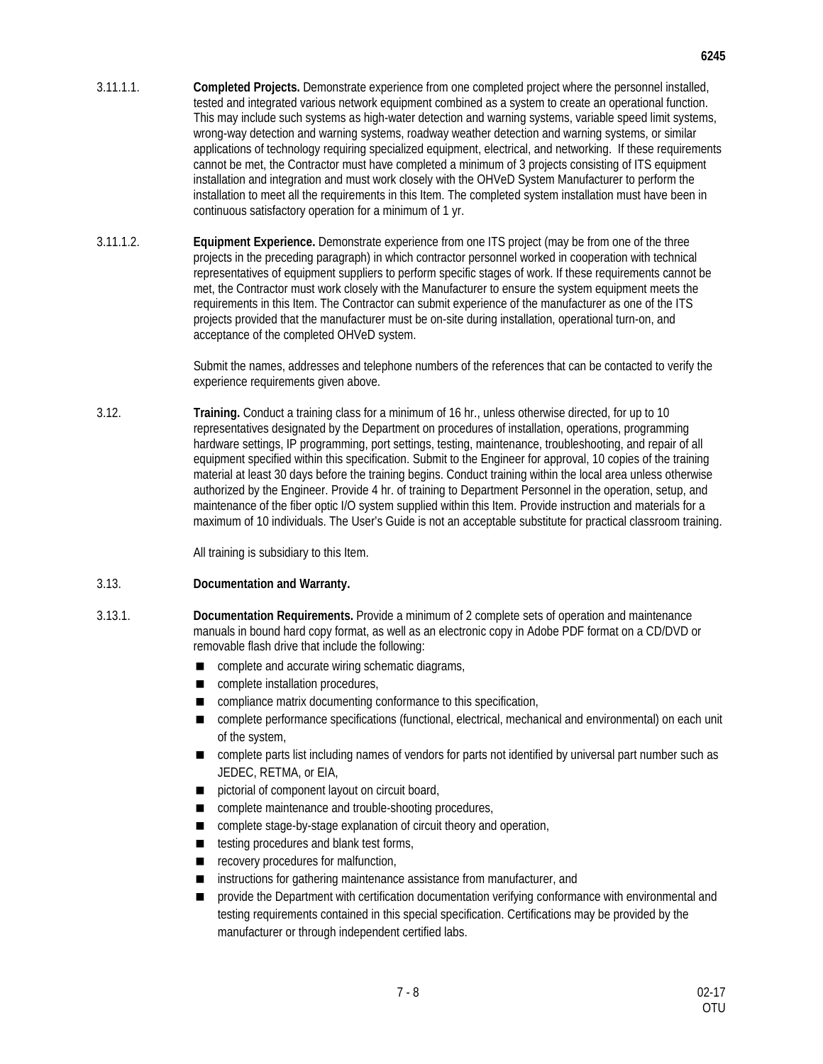- 3.11.1.1. **Completed Projects.** Demonstrate experience from one completed project where the personnel installed, tested and integrated various network equipment combined as a system to create an operational function. This may include such systems as high-water detection and warning systems, variable speed limit systems, wrong-way detection and warning systems, roadway weather detection and warning systems, or similar applications of technology requiring specialized equipment, electrical, and networking. If these requirements cannot be met, the Contractor must have completed a minimum of 3 projects consisting of ITS equipment installation and integration and must work closely with the OHVeD System Manufacturer to perform the installation to meet all the requirements in this Item. The completed system installation must have been in continuous satisfactory operation for a minimum of 1 yr.
- 3.11.1.2. **Equipment Experience.** Demonstrate experience from one ITS project (may be from one of the three projects in the preceding paragraph) in which contractor personnel worked in cooperation with technical representatives of equipment suppliers to perform specific stages of work. If these requirements cannot be met, the Contractor must work closely with the Manufacturer to ensure the system equipment meets the requirements in this Item. The Contractor can submit experience of the manufacturer as one of the ITS projects provided that the manufacturer must be on-site during installation, operational turn-on, and acceptance of the completed OHVeD system.

Submit the names, addresses and telephone numbers of the references that can be contacted to verify the experience requirements given above.

3.12. **Training.** Conduct a training class for a minimum of 16 hr., unless otherwise directed, for up to 10 representatives designated by the Department on procedures of installation, operations, programming hardware settings, IP programming, port settings, testing, maintenance, troubleshooting, and repair of all equipment specified within this specification. Submit to the Engineer for approval, 10 copies of the training material at least 30 days before the training begins. Conduct training within the local area unless otherwise authorized by the Engineer. Provide 4 hr. of training to Department Personnel in the operation, setup, and maintenance of the fiber optic I/O system supplied within this Item. Provide instruction and materials for a maximum of 10 individuals. The User's Guide is not an acceptable substitute for practical classroom training.

All training is subsidiary to this Item.

#### 3.13. **Documentation and Warranty.**

- 3.13.1. **Documentation Requirements.** Provide a minimum of 2 complete sets of operation and maintenance manuals in bound hard copy format, as well as an electronic copy in Adobe PDF format on a CD/DVD or removable flash drive that include the following:
	- complete and accurate wiring schematic diagrams,
	- complete installation procedures,
	- compliance matrix documenting conformance to this specification,
	- complete performance specifications (functional, electrical, mechanical and environmental) on each unit of the system,
	- complete parts list including names of vendors for parts not identified by universal part number such as JEDEC, RETMA, or EIA,
	- pictorial of component layout on circuit board,
	- complete maintenance and trouble-shooting procedures,
	- complete stage-by-stage explanation of circuit theory and operation,
	- $\blacksquare$  testing procedures and blank test forms,
	- recovery procedures for malfunction,
	- instructions for gathering maintenance assistance from manufacturer, and
	- **number 10** provide the Department with certification documentation verifying conformance with environmental and testing requirements contained in this special specification. Certifications may be provided by the manufacturer or through independent certified labs.